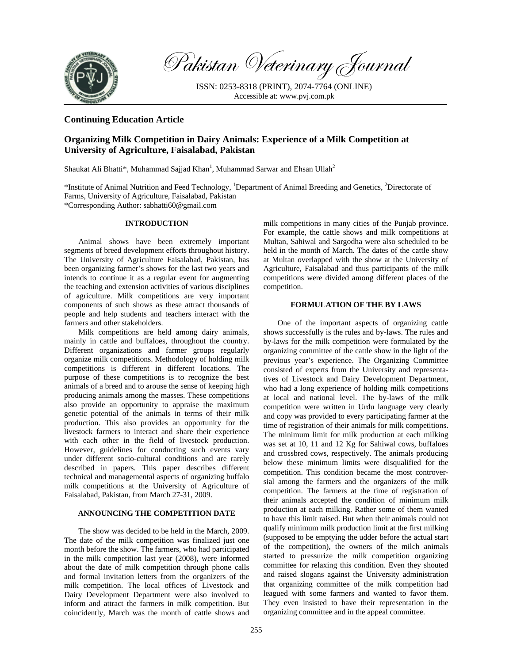

Pakistan Veterinary Journal

ISSN: 0253-8318 (PRINT), 2074-7764 (ONLINE) Accessible at: www.pvj.com.pk

## **Continuing Education Article**

# **Organizing Milk Competition in Dairy Animals: Experience of a Milk Competition at University of Agriculture, Faisalabad, Pakistan**

Shaukat Ali Bhatti\*, Muhammad Sajjad Khan<sup>1</sup>, Muhammad Sarwar and Ehsan Ullah<sup>2</sup>

\*Institute of Animal Nutrition and Feed Technology, 1 Department of Animal Breeding and Genetics, 2 Directorate of Farms, University of Agriculture, Faisalabad, Pakistan \*Corresponding Author: sabhatti60@gmail.com

## **INTRODUCTION**

Animal shows have been extremely important segments of breed development efforts throughout history. The University of Agriculture Faisalabad, Pakistan, has been organizing farmer's shows for the last two years and intends to continue it as a regular event for augmenting the teaching and extension activities of various disciplines of agriculture. Milk competitions are very important components of such shows as these attract thousands of people and help students and teachers interact with the farmers and other stakeholders.

Milk competitions are held among dairy animals, mainly in cattle and buffaloes, throughout the country. Different organizations and farmer groups regularly organize milk competitions. Methodology of holding milk competitions is different in different locations. The purpose of these competitions is to recognize the best animals of a breed and to arouse the sense of keeping high producing animals among the masses. These competitions also provide an opportunity to appraise the maximum genetic potential of the animals in terms of their milk production. This also provides an opportunity for the livestock farmers to interact and share their experience with each other in the field of livestock production. However, guidelines for conducting such events vary under different socio-cultural conditions and are rarely described in papers. This paper describes different technical and managemental aspects of organizing buffalo milk competitions at the University of Agriculture of Faisalabad, Pakistan, from March 27-31, 2009.

## **ANNOUNCING THE COMPETITION DATE**

The show was decided to be held in the March, 2009. The date of the milk competition was finalized just one month before the show. The farmers, who had participated in the milk competition last year (2008), were informed about the date of milk competition through phone calls and formal invitation letters from the organizers of the milk competition. The local offices of Livestock and Dairy Development Department were also involved to inform and attract the farmers in milk competition. But coincidently, March was the month of cattle shows and milk competitions in many cities of the Punjab province. For example, the cattle shows and milk competitions at Multan, Sahiwal and Sargodha were also scheduled to be held in the month of March. The dates of the cattle show at Multan overlapped with the show at the University of Agriculture, Faisalabad and thus participants of the milk competitions were divided among different places of the competition.

## **FORMULATION OF THE BY LAWS**

One of the important aspects of organizing cattle shows successfully is the rules and by-laws. The rules and by-laws for the milk competition were formulated by the organizing committee of the cattle show in the light of the previous year's experience. The Organizing Committee consisted of experts from the University and representatives of Livestock and Dairy Development Department, who had a long experience of holding milk competitions at local and national level. The by-laws of the milk competition were written in Urdu language very clearly and copy was provided to every participating farmer at the time of registration of their animals for milk competitions. The minimum limit for milk production at each milking was set at 10, 11 and 12 Kg for Sahiwal cows, buffaloes and crossbred cows, respectively. The animals producing below these minimum limits were disqualified for the competition. This condition became the most controversial among the farmers and the organizers of the milk competition. The farmers at the time of registration of their animals accepted the condition of minimum milk production at each milking. Rather some of them wanted to have this limit raised. But when their animals could not qualify minimum milk production limit at the first milking (supposed to be emptying the udder before the actual start of the competition), the owners of the milch animals started to pressurize the milk competition organizing committee for relaxing this condition. Even they shouted and raised slogans against the University administration that organizing committee of the milk competition had leagued with some farmers and wanted to favor them. They even insisted to have their representation in the organizing committee and in the appeal committee.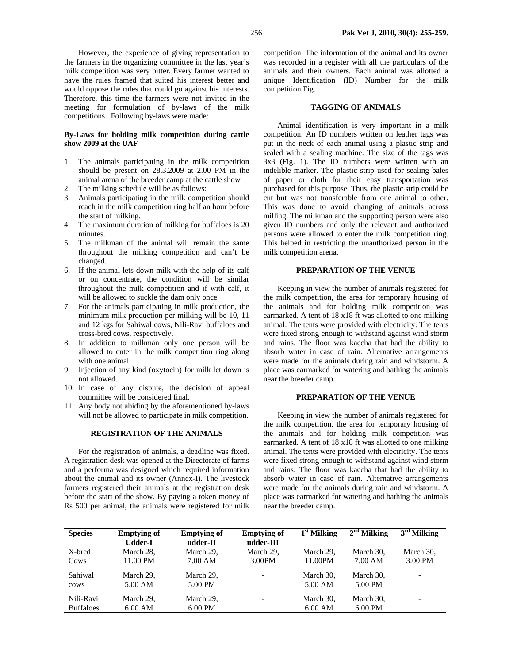However, the experience of giving representation to the farmers in the organizing committee in the last year's milk competition was very bitter. Every farmer wanted to have the rules framed that suited his interest better and would oppose the rules that could go against his interests. Therefore, this time the farmers were not invited in the meeting for formulation of by-laws of the milk competitions. Following by-laws were made:

## **By-Laws for holding milk competition during cattle show 2009 at the UAF**

- 1. The animals participating in the milk competition should be present on 28.3.2009 at 2.00 PM in the animal arena of the breeder camp at the cattle show
- 2. The milking schedule will be as follows:
- 3. Animals participating in the milk competition should reach in the milk competition ring half an hour before the start of milking.
- 4. The maximum duration of milking for buffaloes is 20 minutes.
- 5. The milkman of the animal will remain the same throughout the milking competition and can't be changed.
- 6. If the animal lets down milk with the help of its calf or on concentrate, the condition will be similar throughout the milk competition and if with calf, it will be allowed to suckle the dam only once.
- 7. For the animals participating in milk production, the minimum milk production per milking will be 10, 11 and 12 kgs for Sahiwal cows, Nili-Ravi buffaloes and cross-bred cows, respectively.
- 8. In addition to milkman only one person will be allowed to enter in the milk competition ring along with one animal.
- 9. Injection of any kind (oxytocin) for milk let down is not allowed.
- 10. In case of any dispute, the decision of appeal committee will be considered final.
- 11. Any body not abiding by the aforementioned by-laws will not be allowed to participate in milk competition.

### **REGISTRATION OF THE ANIMALS**

For the registration of animals, a deadline was fixed. A registration desk was opened at the Directorate of farms and a performa was designed which required information about the animal and its owner (Annex-I). The livestock farmers registered their animals at the registration desk before the start of the show. By paying a token money of Rs 500 per animal, the animals were registered for milk

competition. The information of the animal and its owner was recorded in a register with all the particulars of the animals and their owners. Each animal was allotted a unique Identification (ID) Number for the milk competition Fig.

## **TAGGING OF ANIMALS**

Animal identification is very important in a milk competition. An ID numbers written on leather tags was put in the neck of each animal using a plastic strip and sealed with a sealing machine. The size of the tags was 3x3 (Fig. 1). The ID numbers were written with an indelible marker. The plastic strip used for sealing bales of paper or cloth for their easy transportation was purchased for this purpose. Thus, the plastic strip could be cut but was not transferable from one animal to other. This was done to avoid changing of animals across milling. The milkman and the supporting person were also given ID numbers and only the relevant and authorized persons were allowed to enter the milk competition ring. This helped in restricting the unauthorized person in the milk competition arena.

#### **PREPARATION OF THE VENUE**

Keeping in view the number of animals registered for the milk competition, the area for temporary housing of the animals and for holding milk competition was earmarked. A tent of 18 x18 ft was allotted to one milking animal. The tents were provided with electricity. The tents were fixed strong enough to withstand against wind storm and rains. The floor was kaccha that had the ability to absorb water in case of rain. Alternative arrangements were made for the animals during rain and windstorm. A place was earmarked for watering and bathing the animals near the breeder camp.

#### **PREPARATION OF THE VENUE**

Keeping in view the number of animals registered for the milk competition, the area for temporary housing of the animals and for holding milk competition was earmarked. A tent of 18 x18 ft was allotted to one milking animal. The tents were provided with electricity. The tents were fixed strong enough to withstand against wind storm and rains. The floor was kaccha that had the ability to absorb water in case of rain. Alternative arrangements were made for the animals during rain and windstorm. A place was earmarked for watering and bathing the animals near the breeder camp.

| <b>Species</b>   | <b>Emptying of</b><br>Udder-I | <b>Emptying of</b><br>udder-II | <b>Emptying of</b><br>udder-III | $1st$ Milking     | $2nd$ Milking | $3rd$ Milking            |
|------------------|-------------------------------|--------------------------------|---------------------------------|-------------------|---------------|--------------------------|
| X-bred           | March 28.                     | March 29,                      | March 29,                       | March 29,         | March 30,     | March 30,                |
| Cows             | 11.00 PM                      | 7.00 AM                        | 3.00PM                          | 11.00PM           | 7.00 AM       | 3.00 PM                  |
| Sahiwal          | March 29.                     | March 29.                      |                                 | March 30.         | March 30.     | $\overline{\phantom{a}}$ |
| cows             | 5.00 AM                       | 5.00 PM                        |                                 | $5.00 \text{ AM}$ | 5.00 PM       |                          |
| Nili-Ravi        | March 29.                     | March 29,                      |                                 | March 30,         | March 30.     | $\overline{\phantom{a}}$ |
| <b>Buffaloes</b> | 6.00 AM                       | $6.00$ PM                      |                                 | 6.00 AM           | $6.00$ PM     |                          |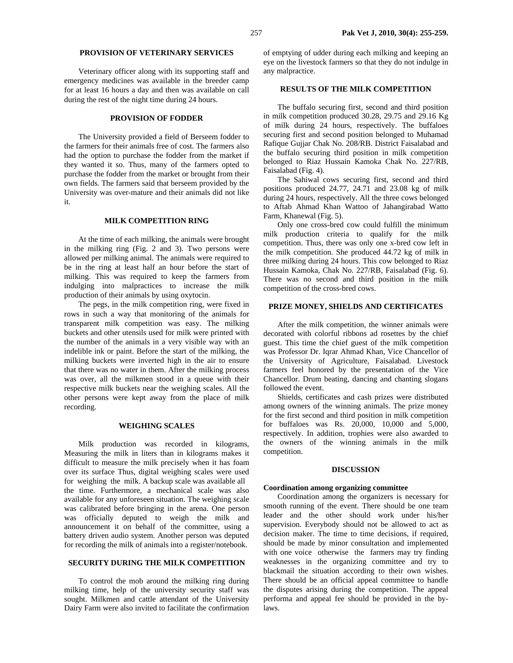## **PROVISION OF VETERINARY SERVICES**

Veterinary officer along with its supporting staff and emergency medicines was available in the breeder camp for at least 16 hours a day and then was available on call during the rest of the night time during 24 hours.

## **PROVISION OF FODDER**

The University provided a field of Berseem fodder to the farmers for their animals free of cost. The farmers also had the option to purchase the fodder from the market if they wanted it so. Thus, many of the farmers opted to purchase the fodder from the market or brought from their own fields. The farmers said that berseem provided by the University was over-mature and their animals did not like it.

## **MILK COMPETITION RING**

At the time of each milking, the animals were brought in the milking ring (Fig. 2 and 3). Two persons were allowed per milking animal. The animals were required to be in the ring at least half an hour before the start of milking. This was required to keep the farmers from indulging into malpractices to increase the milk production of their animals by using oxytocin.

The pegs, in the milk competition ring, were fixed in rows in such a way that monitoring of the animals for transparent milk competition was easy. The milking buckets and other utensils used for milk were printed with the number of the animals in a very visible way with an indelible ink or paint. Before the start of the milking, the milking buckets were inverted high in the air to ensure that there was no water in them. After the milking process was over, all the milkmen stood in a queue with their respective milk buckets near the weighing scales. All the other persons were kept away from the place of milk recording.

## **WEIGHING SCALES**

Milk production was recorded in kilograms, Measuring the milk in liters than in kilograms makes it difficult to measure the milk precisely when it has foam over its surface Thus, digital weighing scales were used for weighing the milk. A backup scale was available all the time. Furthermore, a mechanical scale was also available for any unforeseen situation. The weighing scale was calibrated before bringing in the arena. One person was officially deputed to weigh the milk and announcement it on behalf of the committee, using a battery driven audio system. Another person was deputed for recording the milk of animals into a register/notebook.

## **SECURITY DURING THE MILK COMPETITION**

To control the mob around the milking ring during milking time, help of the university security staff was sought. Milkmen and cattle attendant of the University Dairy Farm were also invited to facilitate the confirmation of emptying of udder during each milking and keeping an eye on the livestock farmers so that they do not indulge in any malpractice.

## **RESULTS OF THE MILK COMPETITION**

The buffalo securing first, second and third position in milk competition produced 30.28, 29.75 and 29.16 Kg of milk during 24 hours, respectively. The buffaloes securing first and second position belonged to Muhamad Rafique Gujjar Chak No. 208/RB. District Faisalabad and the buffalo securing third position in milk competition belonged to Riaz Hussain Kamoka Chak No. 227/RB, Faisalabad (Fig. 4).

The Sahiwal cows securing first, second and third positions produced 24.77, 24.71 and 23.08 kg of milk during 24 hours, respectively. All the three cows belonged to Aftab Ahmad Khan Wattoo of Jahangirabad Watto Farm, Khanewal (Fig. 5).

Only one cross-bred cow could fulfill the minimum milk production criteria to qualify for the milk competition. Thus, there was only one x-bred cow left in the milk competition. She produced 44.72 kg of milk in three milking during 24 hours. This cow belonged to Riaz Hussain Kamoka, Chak No. 227/RB, Faisalabad (Fig. 6). There was no second and third position in the milk competition of the cross-bred cows.

## **PRIZE MONEY, SHIELDS AND CERTIFICATES**

After the milk competition, the winner animals were decorated with colorful ribbons ad rosettes by the chief guest. This time the chief guest of the milk competition was Professor Dr. Iqrar Ahmad Khan, Vice Chancellor of the University of Agriculture, Faisalabad. Livestock farmers feel honored by the presentation of the Vice Chancellor. Drum beating, dancing and chanting slogans followed the event.

Shields, certificates and cash prizes were distributed among owners of the winning animals. The prize money for the first second and third position in milk competition for buffaloes was Rs. 20,000, 10,000 and 5,000, respectively. In addition, trophies were also awarded to the owners of the winning animals in the milk competition.

## **DISCUSSION**

#### **Coordination among organizing committee**

Coordination among the organizers is necessary for smooth running of the event. There should be one team leader and the other should work under his/her supervision. Everybody should not be allowed to act as decision maker. The time to time decisions, if required, should be made by minor consultation and implemented with one voice otherwise the farmers may try finding weaknesses in the organizing committee and try to blackmail the situation according to their own wishes. There should be an official appeal committee to handle the disputes arising during the competition. The appeal performa and appeal fee should be provided in the bylaws.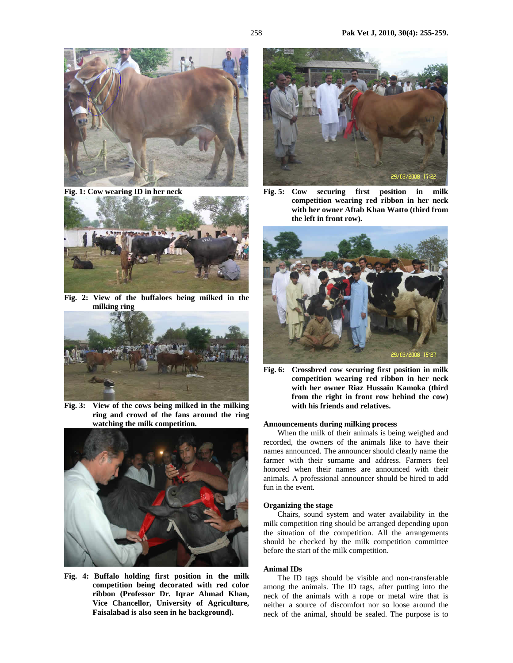

**Fig. 1: Cow wearing ID in her neck** 



**Fig. 2: View of the buffaloes being milked in the milking ring** 



**Fig. 3: View of the cows being milked in the milking ring and crowd of the fans around the ring watching the milk competition.** 



**Fig. 4: Buffalo holding first position in the milk competition being decorated with red color ribbon (Professor Dr. Iqrar Ahmad Khan, Vice Chancellor, University of Agriculture, Faisalabad is also seen in he background).** 



**Fig. 5: Cow securing first position in milk competition wearing red ribbon in her neck with her owner Aftab Khan Watto (third from the left in front row).** 



**Fig. 6: Crossbred cow securing first position in milk competition wearing red ribbon in her neck with her owner Riaz Hussain Kamoka (third from the right in front row behind the cow) with his friends and relatives.** 

### **Announcements during milking process**

When the milk of their animals is being weighed and recorded, the owners of the animals like to have their names announced. The announcer should clearly name the farmer with their surname and address. Farmers feel honored when their names are announced with their animals. A professional announcer should be hired to add fun in the event.

### **Organizing the stage**

Chairs, sound system and water availability in the milk competition ring should be arranged depending upon the situation of the competition. All the arrangements should be checked by the milk competition committee before the start of the milk competition.

#### **Animal IDs**

The ID tags should be visible and non-transferable among the animals. The ID tags, after putting into the neck of the animals with a rope or metal wire that is neither a source of discomfort nor so loose around the neck of the animal, should be sealed. The purpose is to